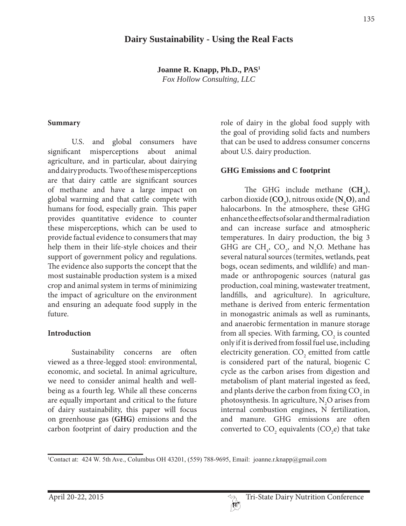## **Dairy Sustainability - Using the Real Facts**

**Joanne R. Knapp, Ph.D., PAS1** *Fox Hollow Consulting, LLC*

#### **Summary**

 U.S. and global consumers have significant misperceptions about animal agriculture, and in particular, about dairying and dairy products. Two of these misperceptions are that dairy cattle are significant sources of methane and have a large impact on global warming and that cattle compete with humans for food, especially grain. This paper provides quantitative evidence to counter these misperceptions, which can be used to provide factual evidence to consumers that may help them in their life-style choices and their support of government policy and regulations. The evidence also supports the concept that the most sustainable production system is a mixed crop and animal system in terms of minimizing the impact of agriculture on the environment and ensuring an adequate food supply in the future.

#### **Introduction**

 Sustainability concerns are often viewed as a three-legged stool: environmental, economic, and societal. In animal agriculture, we need to consider animal health and wellbeing as a fourth leg. While all these concerns are equally important and critical to the future of dairy sustainability, this paper will focus on greenhouse gas **(GHG)** emissions and the carbon footprint of dairy production and the

role of dairy in the global food supply with the goal of providing solid facts and numbers that can be used to address consumer concerns about U.S. dairy production.

#### **GHG Emissions and C footprint**

The GHG include methane  $(CH_4)$ , carbon dioxide **(CO2 )**, nitrous oxide **(N2 O)**, and halocarbons. In the atmosphere, these GHG enhance the effects of solar and thermal radiation and can increase surface and atmospheric temperatures. In dairy production, the big 3 GHG are  $CH_4$ ,  $CO_2$ , and N<sub>2</sub>O. Methane has several natural sources (termites, wetlands, peat bogs, ocean sediments, and wildlife) and manmade or anthropogenic sources (natural gas production, coal mining, wastewater treatment, landfills, and agriculture). In agriculture, methane is derived from enteric fermentation in monogastric animals as well as ruminants, and anaerobic fermentation in manure storage from all species. With farming,  $\mathrm{CO}_2$  is counted only if it is derived from fossil fuel use, including electricity generation.  $\mathrm{CO}_2$  emitted from cattle is considered part of the natural, biogenic C cycle as the carbon arises from digestion and metabolism of plant material ingested as feed, and plants derive the carbon from fixing  $\mathrm{CO}_2^{}$  in photosynthesis. In agriculture,  $N_{2}O$  arises from internal combustion engines, N fertilization, and manure. GHG emissions are often converted to  $CO_2$  equivalents (CO<sub>2</sub>e) that take

Contact at: 424 W. 5th Ave., Columbus OH 43201, (559) 788-9695, Email: joanne.r.knapp@gmail.com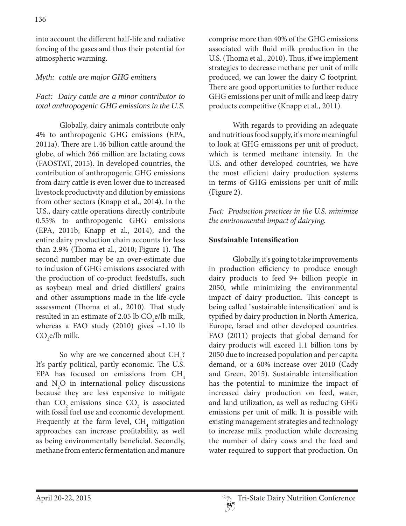into account the different half-life and radiative forcing of the gases and thus their potential for atmospheric warming.

### *Myth: cattle are major GHG emitters*

### *Fact: Dairy cattle are a minor contributor to total anthropogenic GHG emissions in the U.S.*

 Globally, dairy animals contribute only 4% to anthropogenic GHG emissions (EPA, 2011a). There are 1.46 billion cattle around the globe, of which 266 million are lactating cows (FAOSTAT, 2015). In developed countries, the contribution of anthropogenic GHG emissions from dairy cattle is even lower due to increased livestock productivity and dilution by emissions from other sectors (Knapp et al., 2014). In the U.S., dairy cattle operations directly contribute 0.55% to anthropogenic GHG emissions (EPA, 2011b; Knapp et al., 2014), and the entire dairy production chain accounts for less than 2.9% (Thoma et al., 2010; Figure 1). The second number may be an over-estimate due to inclusion of GHG emissions associated with the production of co-product feedstuffs, such as soybean meal and dried distillers' grains and other assumptions made in the life-cycle assessment (Thoma et al., 2010). That study resulted in an estimate of 2.05 lb  $CO<sub>2</sub>e/lb$  milk, whereas a FAO study  $(2010)$  gives ~1.10 lb  $CO<sub>2</sub>e/lb$  milk.

So why are we concerned about  $\text{CH}_4$ ? It's partly political, partly economic. The U.S. EPA has focused on emissions from  $CH<sub>4</sub>$ and  $N_2O$  in international policy discussions because they are less expensive to mitigate than  $CO_2$  emissions since  $CO_2$  is associated with fossil fuel use and economic development. Frequently at the farm level,  $\text{CH}_4$  mitigation approaches can increase profitability, as well as being environmentally beneficial. Secondly, methane from enteric fermentation and manure

comprise more than 40% of the GHG emissions associated with fluid milk production in the U.S. (Thoma et al., 2010). Thus, if we implement strategies to decrease methane per unit of milk produced, we can lower the dairy C footprint. There are good opportunities to further reduce GHG emissions per unit of milk and keep dairy products competitive (Knapp et al., 2011).

 With regards to providing an adequate and nutritious food supply, it's more meaningful to look at GHG emissions per unit of product, which is termed methane intensity. In the U.S. and other developed countries, we have the most efficient dairy production systems in terms of GHG emissions per unit of milk (Figure 2).

*Fact: Production practices in the U.S. minimize the environmental impact of dairying.*

### **Sustainable Intensification**

 Globally, it's going to take improvements in production efficiency to produce enough dairy products to feed 9+ billion people in 2050, while minimizing the environmental impact of dairy production. This concept is being called "sustainable intensification" and is typified by dairy production in North America, Europe, Israel and other developed countries. FAO (2011) projects that global demand for dairy products will exceed 1.1 billion tons by 2050 due to increased population and per capita demand, or a 60% increase over 2010 (Cady and Green, 2015). Sustainable intensification has the potential to minimize the impact of increased dairy production on feed, water, and land utilization, as well as reducing GHG emissions per unit of milk. It is possible with existing management strategies and technology to increase milk production while decreasing the number of dairy cows and the feed and water required to support that production. On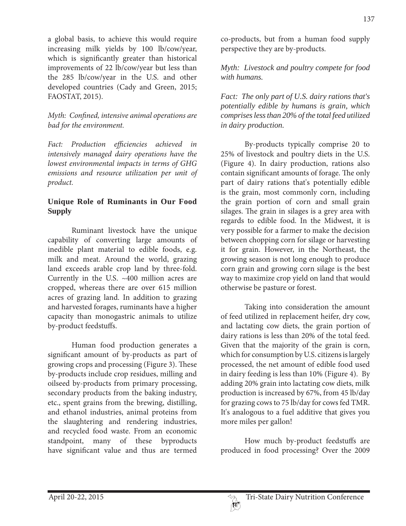a global basis, to achieve this would require increasing milk yields by 100 lb/cow/year, which is significantly greater than historical improvements of 22 lb/cow/year but less than the 285 lb/cow/year in the U.S. and other developed countries (Cady and Green, 2015; FAOSTAT, 2015).

### *Myth: Confined, intensive animal operations are bad for the environment.*

*Fact: Production efficiencies achieved in intensively managed dairy operations have the lowest environmental impacts in terms of GHG emissions and resource utilization per unit of product.*

# **Unique Role of Ruminants in Our Food Supply**

 Ruminant livestock have the unique capability of converting large amounts of inedible plant material to edible foods, e.g. milk and meat. Around the world, grazing land exceeds arable crop land by three-fold. Currently in the U.S. ~400 million acres are cropped, whereas there are over 615 million acres of grazing land. In addition to grazing and harvested forages, ruminants have a higher capacity than monogastric animals to utilize by-product feedstuffs.

 Human food production generates a significant amount of by-products as part of growing crops and processing (Figure 3). These by-products include crop residues, milling and oilseed by-products from primary processing, secondary products from the baking industry, etc., spent grains from the brewing, distilling, and ethanol industries, animal proteins from the slaughtering and rendering industries, and recycled food waste. From an economic standpoint, many of these byproducts have significant value and thus are termed

co-products, but from a human food supply perspective they are by-products.

*Myth: Livestock and poultry compete for food with humans.*

*Fact: The only part of U.S. dairy rations that's potentially edible by humans is grain, which comprises less than 20% of the total feed utilized in dairy production.* 

 By-products typically comprise 20 to 25% of livestock and poultry diets in the U.S. (Figure 4). In dairy production, rations also contain significant amounts of forage. The only part of dairy rations that's potentially edible is the grain, most commonly corn, including the grain portion of corn and small grain silages. The grain in silages is a grey area with regards to edible food. In the Midwest, it is very possible for a farmer to make the decision between chopping corn for silage or harvesting it for grain. However, in the Northeast, the growing season is not long enough to produce corn grain and growing corn silage is the best way to maximize crop yield on land that would otherwise be pasture or forest.

 Taking into consideration the amount of feed utilized in replacement heifer, dry cow, and lactating cow diets, the grain portion of dairy rations is less than 20% of the total feed. Given that the majority of the grain is corn, which for consumption by U.S. citizens is largely processed, the net amount of edible food used in dairy feeding is less than 10% (Figure 4). By adding 20% grain into lactating cow diets, milk production is increased by 67%, from 45 lb/day for grazing cows to 75 lb/day for cows fed TMR. It's analogous to a fuel additive that gives you more miles per gallon!

 How much by-product feedstuffs are produced in food processing? Over the 2009

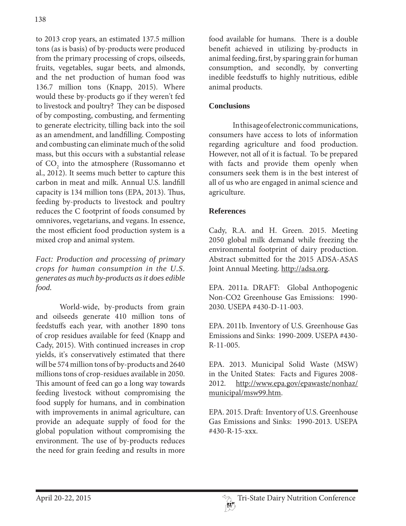to 2013 crop years, an estimated 137.5 million tons (as is basis) of by-products were produced from the primary processing of crops, oilseeds, fruits, vegetables, sugar beets, and almonds, and the net production of human food was 136.7 million tons (Knapp, 2015). Where would these by-products go if they weren't fed to livestock and poultry? They can be disposed of by composting, combusting, and fermenting to generate electricity, tilling back into the soil as an amendment, and landfilling. Composting and combusting can eliminate much of the solid mass, but this occurs with a substantial release of  $\mathrm{CO}_2$  into the atmosphere (Russomanno et al., 2012). It seems much better to capture this carbon in meat and milk. Annual U.S. landfill capacity is 134 million tons (EPA, 2013). Thus, feeding by-products to livestock and poultry reduces the C footprint of foods consumed by omnivores, vegetarians, and vegans. In essence, the most efficient food production system is a mixed crop and animal system.

*Fact: Production and processing of primary crops for human consumption in the U.S. generates as much by-products as it does edible food.*

 World-wide, by-products from grain and oilseeds generate 410 million tons of feedstuffs each year, with another 1890 tons of crop residues available for feed (Knapp and Cady, 2015). With continued increases in crop yields, it's conservatively estimated that there will be 574 million tons of by-products and 2640 millions tons of crop-residues available in 2050. This amount of feed can go a long way towards feeding livestock without compromising the food supply for humans, and in combination with improvements in animal agriculture, can provide an adequate supply of food for the global population without compromising the environment. The use of by-products reduces the need for grain feeding and results in more

food available for humans. There is a double benefit achieved in utilizing by-products in animal feeding, first, by sparing grain for human consumption, and secondly, by converting inedible feedstuffs to highly nutritious, edible animal products.

# **Conclusions**

 In this age of electronic communications, consumers have access to lots of information regarding agriculture and food production. However, not all of it is factual. To be prepared with facts and provide them openly when consumers seek them is in the best interest of all of us who are engaged in animal science and agriculture.

## **References**

Cady, R.A. and H. Green. 2015. Meeting 2050 global milk demand while freezing the environmental footprint of dairy production. Abstract submitted for the 2015 ADSA-ASAS Joint Annual Meeting. http://adsa.org.

EPA. 2011a. DRAFT: Global Anthopogenic Non-CO2 Greenhouse Gas Emissions: 1990- 2030. USEPA #430-D-11-003.

EPA. 2011b. Inventory of U.S. Greenhouse Gas Emissions and Sinks: 1990-2009. USEPA #430- R-11-005.

EPA. 2013. Municipal Solid Waste (MSW) in the United States: Facts and Figures 2008- 2012. http://www.epa.gov/epawaste/nonhaz/ municipal/msw99.htm.

EPA. 2015. Draft: Inventory of U.S. Greenhouse Gas Emissions and Sinks: 1990-2013. USEPA #430-R-15-xxx.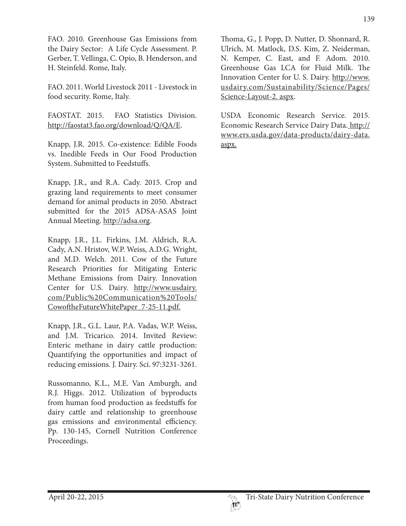FAO. 2010. Greenhouse Gas Emissions from the Dairy Sector: A Life Cycle Assessment. P. Gerber, T. Vellinga, C. Opio, B. Henderson, and H. Steinfeld. Rome, Italy.

FAO. 2011. World Livestock 2011 - Livestock in food security. Rome, Italy.

FAOSTAT. 2015. FAO Statistics Division. http://faostat3.fao.org/download/Q/QA/E.

Knapp, J.R. 2015. Co-existence: Edible Foods vs. Inedible Feeds in Our Food Production System. Submitted to Feedstuffs.

Knapp, J.R., and R.A. Cady. 2015. Crop and grazing land requirements to meet consumer demand for animal products in 2050. Abstract submitted for the 2015 ADSA-ASAS Joint Annual Meeting. http://adsa.org.

Knapp, J.R., J.L. Firkins, J.M. Aldrich, R.A. Cady, A.N. Hristov, W.P. Weiss, A.D.G. Wright, and M.D. Welch. 2011. Cow of the Future Research Priorities for Mitigating Enteric Methane Emissions from Dairy. Innovation Center for U.S. Dairy. http://www.usdairy. com/Public%20Communication%20Tools/ CowoftheFutureWhitePaper\_7-25-11.pdf.

Knapp, J.R., G.L. Laur, P.A. Vadas, W.P. Weiss, and J.M. Tricarico. 2014. Invited Review: Enteric methane in dairy cattle production: Quantifying the opportunities and impact of reducing emissions. J. Dairy. Sci. 97:3231-3261.

Russomanno, K.L., M.E. Van Amburgh, and R.J. Higgs. 2012. Utilization of byproducts from human food production as feedstuffs for dairy cattle and relationship to greenhouse gas emissions and environmental efficiency. Pp. 130-145, Cornell Nutrition Conference Proceedings.

Thoma, G., J. Popp, D. Nutter, D. Shonnard, R. Ulrich, M. Matlock, D.S. Kim, Z. Neiderman, N. Kemper, C. East, and F. Adom. 2010. Greenhouse Gas LCA for Fluid Milk. The Innovation Center for U. S. Dairy. http://www. usdairy.com/Sustainability/Science/Pages/ Science-Layout-2. aspx.

USDA Economic Research Service. 2015. Economic Research Service Dairy Data. http:// www.ers.usda.gov/data-products/dairy-data. aspx.

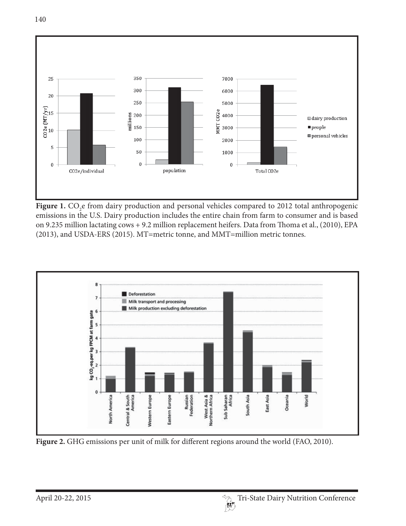

Figure 1. CO<sub>2</sub>e from dairy production and personal vehicles compared to 2012 total anthropogenic emissions in the U.S. Dairy production includes the entire chain from farm to consumer and is based on 9.235 million lactating cows + 9.2 million replacement heifers. Data from Thoma et al., (2010), EPA (2013), and USDA-ERS (2015). MT=metric tonne, and MMT=million metric tonnes.



Figure 2. GHG emissions per unit of milk for different regions around the world (FAO, 2010).